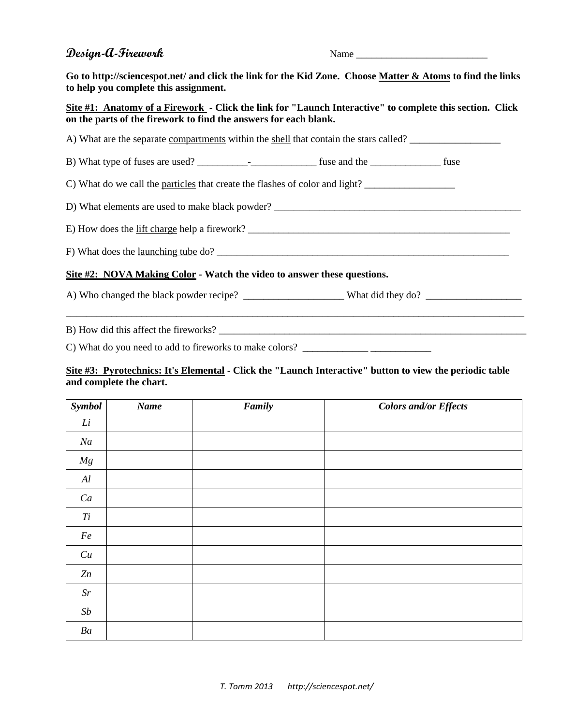# **Design-A-Firework** Name Name

**Go to http://sciencespot.net/ and click the link for the Kid Zone. Choose Matter & Atoms to find the links to help you complete this assignment.**

## **Site #1: Anatomy of a Firework - Click the link for "Launch Interactive" to complete this section. Click on the parts of the firework to find the answers for each blank.**

A) What are the separate compartments within the shell that contain the stars called? \_\_\_\_\_\_\_\_\_\_\_\_\_\_\_\_\_\_

B) What type of fuses are used? \_\_\_\_\_\_\_\_\_\_-\_\_\_\_\_\_\_\_\_\_\_\_\_ fuse and the \_\_\_\_\_\_\_\_\_\_\_\_\_\_ fuse

C) What do we call the particles that create the flashes of color and light?  $\Box$ 

D) What elements are used to make black powder? \_\_\_\_\_\_\_\_\_\_\_\_\_\_\_\_\_\_\_\_\_\_\_\_\_\_\_\_\_\_\_\_\_\_\_\_\_\_\_\_\_\_\_\_\_\_\_\_\_

E) How does the lift charge help a firework?

F) What does the launching tube do? \_\_\_\_\_\_\_\_\_\_\_\_\_\_\_\_\_\_\_\_\_\_\_\_\_\_\_\_\_\_\_\_\_\_\_\_\_\_\_\_\_\_\_\_\_\_\_\_\_\_\_\_\_\_\_\_\_\_

### **Site #2: NOVA Making Color - Watch the video to answer these questions.**

A) Who changed the black powder recipe? \_\_\_\_\_\_\_\_\_\_\_\_\_\_\_\_\_\_\_\_\_\_\_\_\_What did they do? \_\_\_\_\_\_\_\_\_\_\_\_\_\_\_\_\_\_\_\_\_\_\_\_\_\_\_

\_\_\_\_\_\_\_\_\_\_\_\_\_\_\_\_\_\_\_\_\_\_\_\_\_\_\_\_\_\_\_\_\_\_\_\_\_\_\_\_\_\_\_\_\_\_\_\_\_\_\_\_\_\_\_\_\_\_\_\_\_\_\_\_\_\_\_\_\_\_\_\_\_\_\_\_\_\_\_\_\_\_\_\_\_\_\_\_\_\_\_

B) How did this affect the fireworks?

C) What do you need to add to fireworks to make colors?

#### **Site #3: Pyrotechnics: It's Elemental - Click the "Launch Interactive" button to view the periodic table and complete the chart.**

| <b>Symbol</b>  | Name | Family | <b>Colors and/or Effects</b> |
|----------------|------|--------|------------------------------|
| Li             |      |        |                              |
| Na             |      |        |                              |
| Mg             |      |        |                              |
| Al             |      |        |                              |
| Ca             |      |        |                              |
| Ti             |      |        |                              |
| $Fe\;$         |      |        |                              |
| Cu             |      |        |                              |
| Zn             |      |        |                              |
| $\mathcal{S}r$ |      |        |                              |
| $\mathit{Sb}$  |      |        |                              |
| Ba             |      |        |                              |